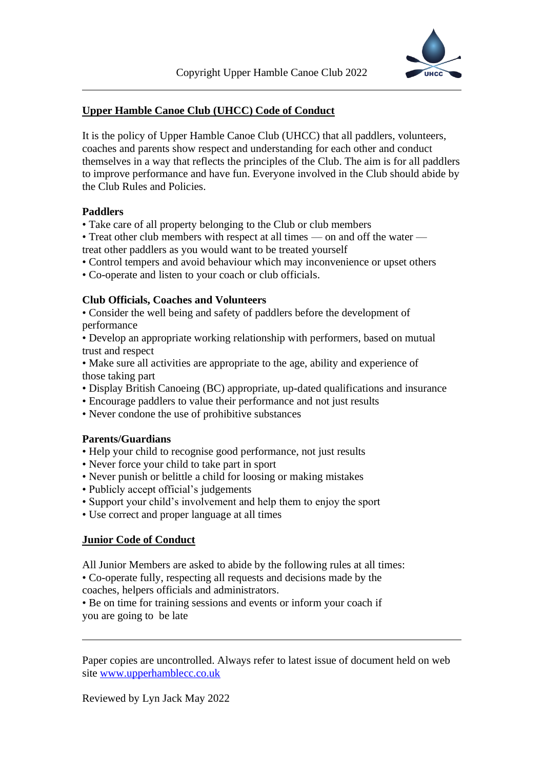

## **Upper Hamble Canoe Club (UHCC) Code of Conduct**

It is the policy of Upper Hamble Canoe Club (UHCC) that all paddlers, volunteers, coaches and parents show respect and understanding for each other and conduct themselves in a way that reflects the principles of the Club. The aim is for all paddlers to improve performance and have fun. Everyone involved in the Club should abide by the Club Rules and Policies.

### **Paddlers**

• Take care of all property belonging to the Club or club members

• Treat other club members with respect at all times — on and off the water treat other paddlers as you would want to be treated yourself

• Control tempers and avoid behaviour which may inconvenience or upset others

• Co-operate and listen to your coach or club officials.

### **Club Officials, Coaches and Volunteers**

• Consider the well being and safety of paddlers before the development of performance

• Develop an appropriate working relationship with performers, based on mutual trust and respect

• Make sure all activities are appropriate to the age, ability and experience of those taking part

- Display British Canoeing (BC) appropriate, up-dated qualifications and insurance
- Encourage paddlers to value their performance and not just results
- Never condone the use of prohibitive substances

# **Parents/Guardians**

- Help your child to recognise good performance, not just results
- Never force your child to take part in sport
- Never punish or belittle a child for loosing or making mistakes
- Publicly accept official's judgements
- Support your child's involvement and help them to enjoy the sport
- Use correct and proper language at all times

#### **Junior Code of Conduct**

All Junior Members are asked to abide by the following rules at all times: • Co-operate fully, respecting all requests and decisions made by the coaches, helpers officials and administrators.

• Be on time for training sessions and events or inform your coach if you are going to be late

Paper copies are uncontrolled. Always refer to latest issue of document held on web site [www.upperhamblecc.co.uk](http://www.upperhamblecc.co.uk/)

Reviewed by Lyn Jack May 2022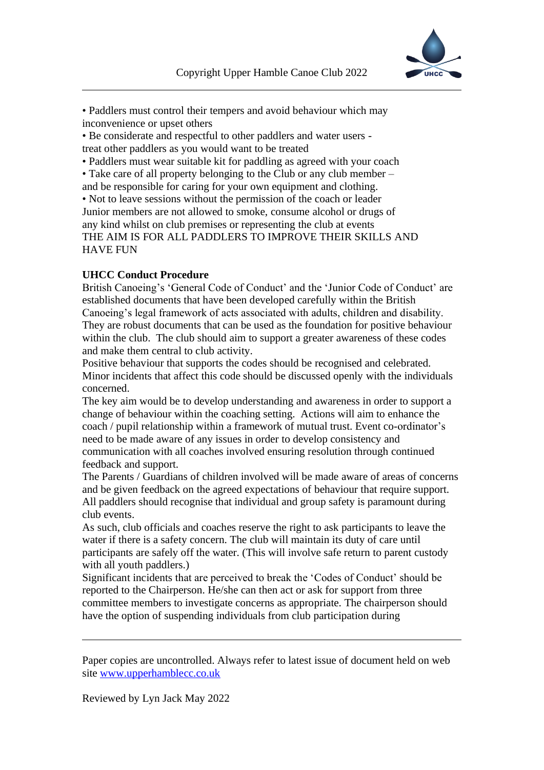

• Paddlers must control their tempers and avoid behaviour which may inconvenience or upset others

• Be considerate and respectful to other paddlers and water users treat other paddlers as you would want to be treated

• Paddlers must wear suitable kit for paddling as agreed with your coach

• Take care of all property belonging to the Club or any club member – and be responsible for caring for your own equipment and clothing.

• Not to leave sessions without the permission of the coach or leader Junior members are not allowed to smoke, consume alcohol or drugs of any kind whilst on club premises or representing the club at events THE AIM IS FOR ALL PADDLERS TO IMPROVE THEIR SKILLS AND HAVE FUN

# **UHCC Conduct Procedure**

British Canoeing's 'General Code of Conduct' and the 'Junior Code of Conduct' are established documents that have been developed carefully within the British Canoeing's legal framework of acts associated with adults, children and disability. They are robust documents that can be used as the foundation for positive behaviour within the club. The club should aim to support a greater awareness of these codes and make them central to club activity.

Positive behaviour that supports the codes should be recognised and celebrated. Minor incidents that affect this code should be discussed openly with the individuals concerned.

The key aim would be to develop understanding and awareness in order to support a change of behaviour within the coaching setting. Actions will aim to enhance the coach / pupil relationship within a framework of mutual trust. Event co-ordinator's need to be made aware of any issues in order to develop consistency and communication with all coaches involved ensuring resolution through continued feedback and support.

The Parents / Guardians of children involved will be made aware of areas of concerns and be given feedback on the agreed expectations of behaviour that require support. All paddlers should recognise that individual and group safety is paramount during club events.

As such, club officials and coaches reserve the right to ask participants to leave the water if there is a safety concern. The club will maintain its duty of care until participants are safely off the water. (This will involve safe return to parent custody with all youth paddlers.)

Significant incidents that are perceived to break the 'Codes of Conduct' should be reported to the Chairperson. He/she can then act or ask for support from three committee members to investigate concerns as appropriate. The chairperson should have the option of suspending individuals from club participation during

Paper copies are uncontrolled. Always refer to latest issue of document held on web site [www.upperhamblecc.co.uk](http://www.upperhamblecc.co.uk/)